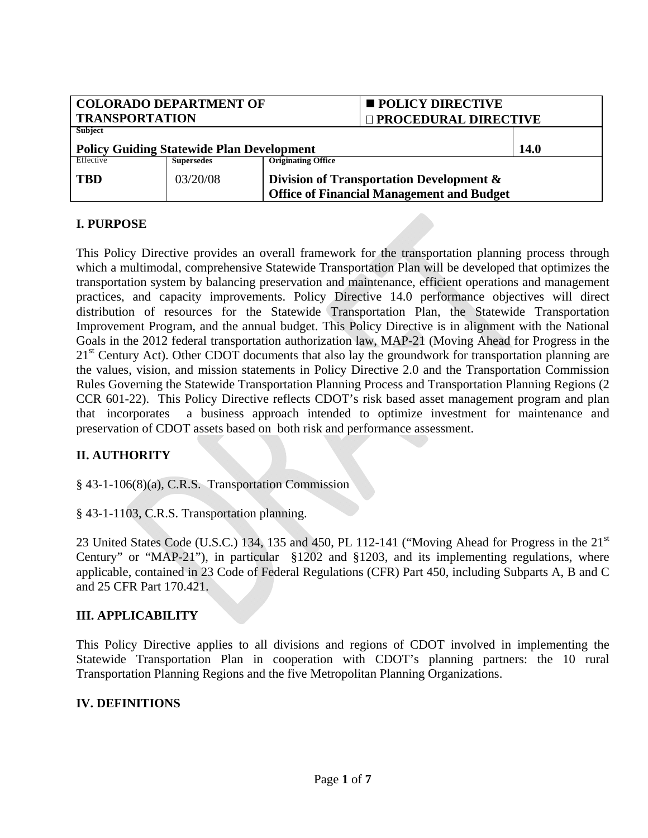| <b>COLORADO DEPARTMENT OF</b>                    |                   |                                                  | <b>POLICY DIRECTIVE</b> |  |
|--------------------------------------------------|-------------------|--------------------------------------------------|-------------------------|--|
| <b>TRANSPORTATION</b>                            |                   |                                                  | □ PROCEDURAL DIRECTIVE  |  |
| Subject                                          |                   |                                                  |                         |  |
| <b>Policy Guiding Statewide Plan Development</b> | 14.0              |                                                  |                         |  |
| Effective                                        | <b>Supersedes</b> | <b>Originating Office</b>                        |                         |  |
| <b>TBD</b>                                       | 03/20/08          | Division of Transportation Development &         |                         |  |
|                                                  |                   | <b>Office of Financial Management and Budget</b> |                         |  |

# **I. PURPOSE**

This Policy Directive provides an overall framework for the transportation planning process through which a multimodal, comprehensive Statewide Transportation Plan will be developed that optimizes the transportation system by balancing preservation and maintenance, efficient operations and management practices, and capacity improvements. Policy Directive 14.0 performance objectives will direct distribution of resources for the Statewide Transportation Plan, the Statewide Transportation Improvement Program, and the annual budget. This Policy Directive is in alignment with the National Goals in the 2012 federal transportation authorization law, MAP-21 (Moving Ahead for Progress in the  $21<sup>st</sup>$  Century Act). Other CDOT documents that also lay the groundwork for transportation planning are the values, vision, and mission statements in Policy Directive 2.0 and the Transportation Commission Rules Governing the Statewide Transportation Planning Process and Transportation Planning Regions (2 CCR 601-22). This Policy Directive reflects CDOT's risk based asset management program and plan that incorporates a business approach intended to optimize investment for maintenance and preservation of CDOT assets based on both risk and performance assessment.

# **II. AUTHORITY**

§ 43-1-106(8)(a), C.R.S. Transportation Commission

§ 43-1-1103, C.R.S. Transportation planning.

23 United States Code (U.S.C.) 134, 135 and 450, PL 112-141 ("Moving Ahead for Progress in the 21<sup>st</sup> Century" or "MAP-21"), in particular §1202 and §1203, and its implementing regulations, where applicable, contained in 23 Code of Federal Regulations (CFR) Part 450, including Subparts A, B and C and 25 CFR Part 170.421.

## **III. APPLICABILITY**

This Policy Directive applies to all divisions and regions of CDOT involved in implementing the Statewide Transportation Plan in cooperation with CDOT's planning partners: the 10 rural Transportation Planning Regions and the five Metropolitan Planning Organizations.

# **IV. DEFINITIONS**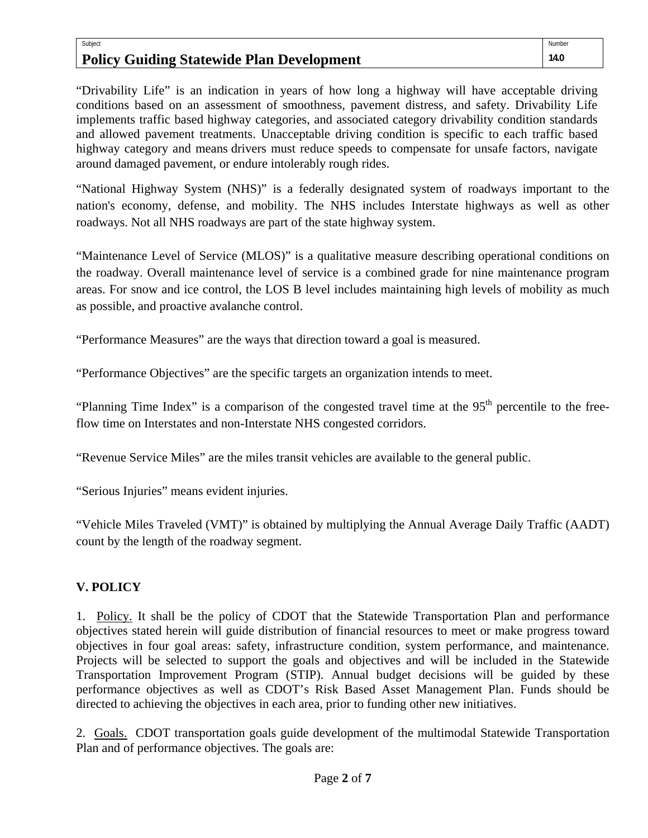## Subject **Policy Guiding Statewide Plan Development**

"Drivability Life" is an indication in years of how long a highway will have acceptable driving conditions based on an assessment of smoothness, pavement distress, and safety. Drivability Life implements traffic based highway categories, and associated category drivability condition standards and allowed pavement treatments. Unacceptable driving condition is specific to each traffic based highway category and means drivers must reduce speeds to compensate for unsafe factors, navigate around damaged pavement, or endure intolerably rough rides.

"National Highway System (NHS)" is a federally designated system of roadways important to the nation's economy, defense, and mobility. The NHS includes Interstate highways as well as other roadways. Not all NHS roadways are part of the state highway system.

"Maintenance Level of Service (MLOS)" is a qualitative measure describing operational conditions on the roadway. Overall maintenance level of service is a combined grade for nine maintenance program areas. For snow and ice control, the LOS B level includes maintaining high levels of mobility as much as possible, and proactive avalanche control.

"Performance Measures" are the ways that direction toward a goal is measured.

"Performance Objectives" are the specific targets an organization intends to meet.

"Planning Time Index" is a comparison of the congested travel time at the 95<sup>th</sup> percentile to the freeflow time on Interstates and non-Interstate NHS congested corridors.

"Revenue Service Miles" are the miles transit vehicles are available to the general public.

"Serious Injuries" means evident injuries.

"Vehicle Miles Traveled (VMT)" is obtained by multiplying the Annual Average Daily Traffic (AADT) count by the length of the roadway segment.

# **V. POLICY**

1. Policy. It shall be the policy of CDOT that the Statewide Transportation Plan and performance objectives stated herein will guide distribution of financial resources to meet or make progress toward objectives in four goal areas: safety, infrastructure condition, system performance, and maintenance. Projects will be selected to support the goals and objectives and will be included in the Statewide Transportation Improvement Program (STIP). Annual budget decisions will be guided by these performance objectives as well as CDOT's Risk Based Asset Management Plan. Funds should be directed to achieving the objectives in each area, prior to funding other new initiatives.

2. Goals. CDOT transportation goals guide development of the multimodal Statewide Transportation Plan and of performance objectives. The goals are: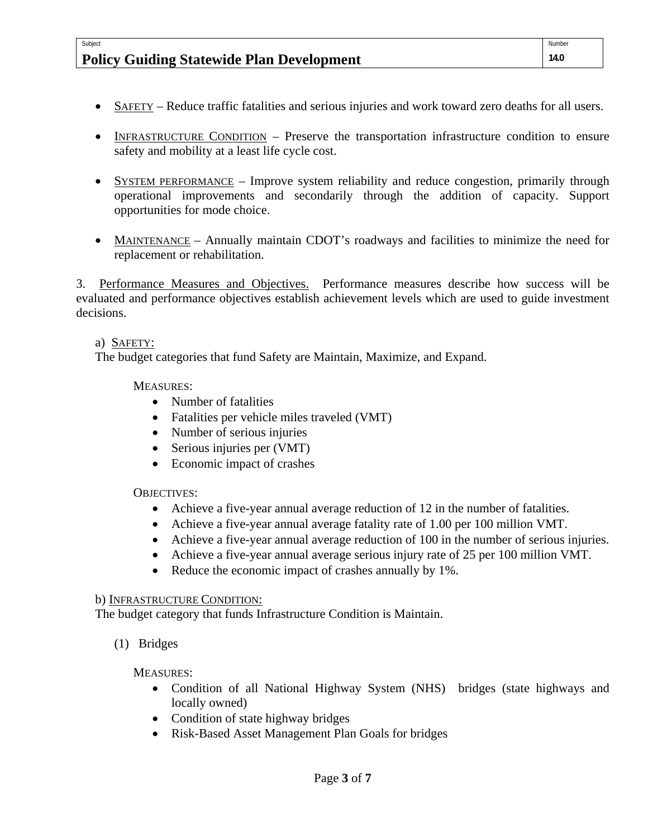# **Policy Guiding Statewide Plan Development**

- SAFETY Reduce traffic fatalities and serious injuries and work toward zero deaths for all users.
- INFRASTRUCTURE CONDITION Preserve the transportation infrastructure condition to ensure safety and mobility at a least life cycle cost.
- SYSTEM PERFORMANCE Improve system reliability and reduce congestion, primarily through operational improvements and secondarily through the addition of capacity. Support opportunities for mode choice.
- MAINTENANCE Annually maintain CDOT's roadways and facilities to minimize the need for replacement or rehabilitation.

3. Performance Measures and Objectives. Performance measures describe how success will be evaluated and performance objectives establish achievement levels which are used to guide investment decisions.

## a) SAFETY:

Subject

The budget categories that fund Safety are Maintain, Maximize, and Expand.

## MEASURES:

- Number of fatalities
- Fatalities per vehicle miles traveled (VMT)
- Number of serious injuries
- Serious injuries per (VMT)
- Economic impact of crashes

## OBJECTIVES:

- Achieve a five-year annual average reduction of 12 in the number of fatalities.
- Achieve a five-year annual average fatality rate of 1.00 per 100 million VMT.
- Achieve a five-year annual average reduction of 100 in the number of serious injuries.
- Achieve a five-year annual average serious injury rate of 25 per 100 million VMT.
- Reduce the economic impact of crashes annually by 1%.

#### b) INFRASTRUCTURE CONDITION:

The budget category that funds Infrastructure Condition is Maintain.

(1) Bridges

MEASURES:

- Condition of all National Highway System (NHS) bridges (state highways and locally owned)
- Condition of state highway bridges
- Risk-Based Asset Management Plan Goals for bridges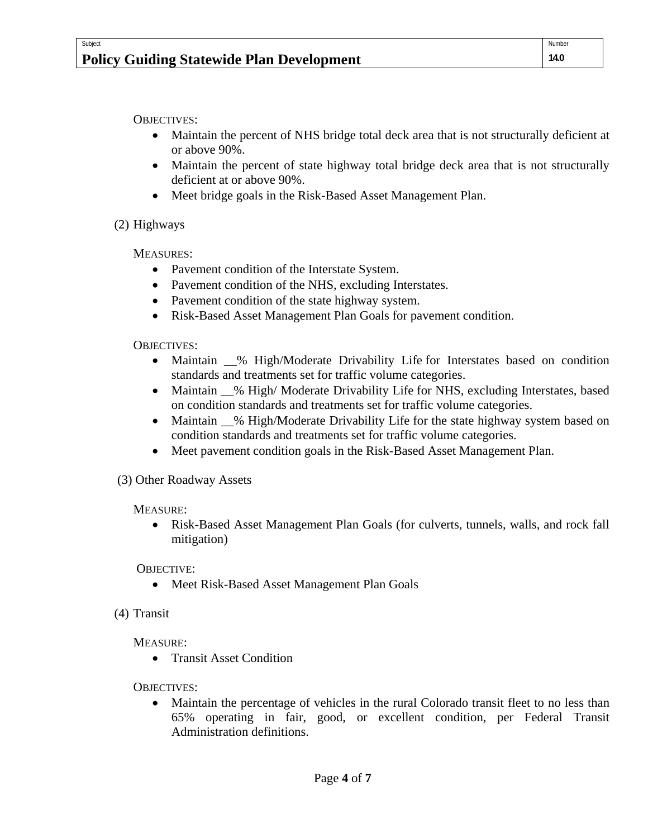OBJECTIVES:

- Maintain the percent of NHS bridge total deck area that is not structurally deficient at or above 90%.
- Maintain the percent of state highway total bridge deck area that is not structurally deficient at or above 90%.
- Meet bridge goals in the Risk-Based Asset Management Plan.

(2) Highways

MEASURES:

- Pavement condition of the Interstate System.
- Pavement condition of the NHS, excluding Interstates.
- Pavement condition of the state highway system.
- Risk-Based Asset Management Plan Goals for pavement condition.

OBJECTIVES:

- Maintain  $\_\%$  High/Moderate Drivability Life for Interstates based on condition standards and treatments set for traffic volume categories.
- Maintain  $\_\%$  High/Moderate Drivability Life for NHS, excluding Interstates, based on condition standards and treatments set for traffic volume categories.
- Maintain  $\_\%$  High/Moderate Drivability Life for the state highway system based on condition standards and treatments set for traffic volume categories.
- Meet pavement condition goals in the Risk-Based Asset Management Plan.

(3) Other Roadway Assets

MEASURE:

 Risk-Based Asset Management Plan Goals (for culverts, tunnels, walls, and rock fall mitigation)

OBJECTIVE:

- Meet Risk-Based Asset Management Plan Goals
- (4) Transit

MEASURE:

**•** Transit Asset Condition

OBJECTIVES:

 Maintain the percentage of vehicles in the rural Colorado transit fleet to no less than 65% operating in fair, good, or excellent condition, per Federal Transit Administration definitions.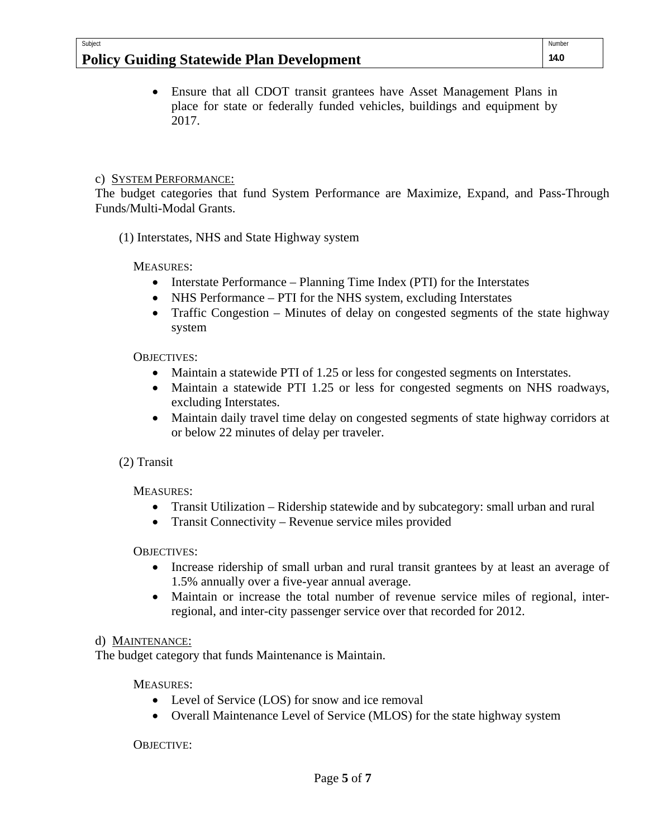# **Policy Guiding Statewide Plan Development**

 Ensure that all CDOT transit grantees have Asset Management Plans in place for state or federally funded vehicles, buildings and equipment by 2017.

# c) SYSTEM PERFORMANCE:

Subject

The budget categories that fund System Performance are Maximize, Expand, and Pass-Through Funds/Multi-Modal Grants.

(1) Interstates, NHS and State Highway system

MEASURES:

- Interstate Performance Planning Time Index (PTI) for the Interstates
- NHS Performance PTI for the NHS system, excluding Interstates
- Traffic Congestion Minutes of delay on congested segments of the state highway system

# OBJECTIVES:

- Maintain a statewide PTI of 1.25 or less for congested segments on Interstates.
- Maintain a statewide PTI 1.25 or less for congested segments on NHS roadways, excluding Interstates.
- Maintain daily travel time delay on congested segments of state highway corridors at or below 22 minutes of delay per traveler.

# (2) Transit

MEASURES:

- Transit Utilization Ridership statewide and by subcategory: small urban and rural
- Transit Connectivity Revenue service miles provided

# OBJECTIVES:

- Increase ridership of small urban and rural transit grantees by at least an average of 1.5% annually over a five-year annual average.
- Maintain or increase the total number of revenue service miles of regional, interregional, and inter-city passenger service over that recorded for 2012.

# d) MAINTENANCE:

The budget category that funds Maintenance is Maintain.

# MEASURES:

- Level of Service (LOS) for snow and ice removal
- Overall Maintenance Level of Service (MLOS) for the state highway system

OBJECTIVE: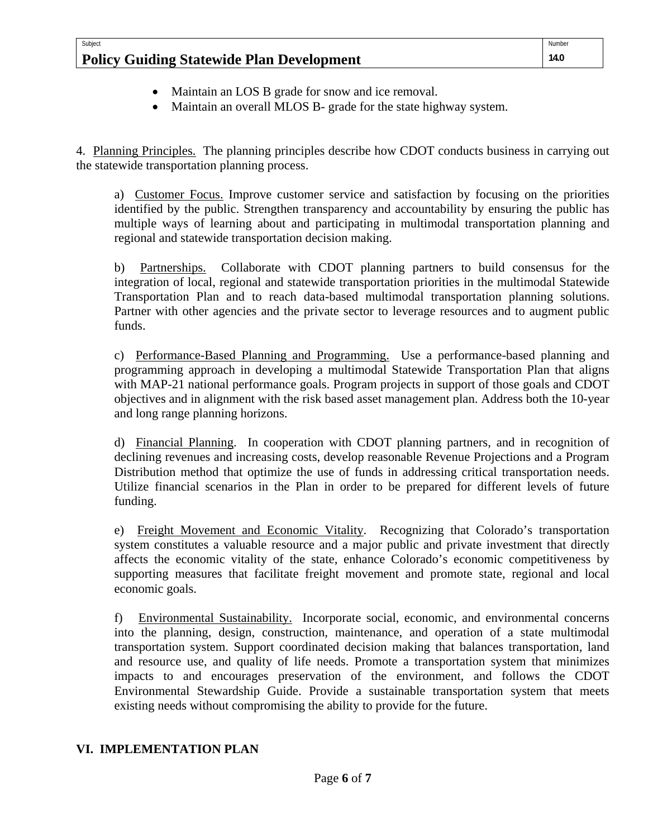| Subject                                          | Number |
|--------------------------------------------------|--------|
| <b>Policy Guiding Statewide Plan Development</b> | 14.0   |

- Maintain an LOS B grade for snow and ice removal.
- Maintain an overall MLOS B- grade for the state highway system.

4. Planning Principles. The planning principles describe how CDOT conducts business in carrying out the statewide transportation planning process.

a) Customer Focus. Improve customer service and satisfaction by focusing on the priorities identified by the public. Strengthen transparency and accountability by ensuring the public has multiple ways of learning about and participating in multimodal transportation planning and regional and statewide transportation decision making.

b) Partnerships. Collaborate with CDOT planning partners to build consensus for the integration of local, regional and statewide transportation priorities in the multimodal Statewide Transportation Plan and to reach data-based multimodal transportation planning solutions. Partner with other agencies and the private sector to leverage resources and to augment public funds.

c) Performance-Based Planning and Programming. Use a performance-based planning and programming approach in developing a multimodal Statewide Transportation Plan that aligns with MAP-21 national performance goals. Program projects in support of those goals and CDOT objectives and in alignment with the risk based asset management plan. Address both the 10-year and long range planning horizons.

d) Financial Planning. In cooperation with CDOT planning partners, and in recognition of declining revenues and increasing costs, develop reasonable Revenue Projections and a Program Distribution method that optimize the use of funds in addressing critical transportation needs. Utilize financial scenarios in the Plan in order to be prepared for different levels of future funding.

e) Freight Movement and Economic Vitality. Recognizing that Colorado's transportation system constitutes a valuable resource and a major public and private investment that directly affects the economic vitality of the state, enhance Colorado's economic competitiveness by supporting measures that facilitate freight movement and promote state, regional and local economic goals.

f) Environmental Sustainability. Incorporate social, economic, and environmental concerns into the planning, design, construction, maintenance, and operation of a state multimodal transportation system. Support coordinated decision making that balances transportation, land and resource use, and quality of life needs. Promote a transportation system that minimizes impacts to and encourages preservation of the environment, and follows the CDOT Environmental Stewardship Guide. Provide a sustainable transportation system that meets existing needs without compromising the ability to provide for the future.

# **VI. IMPLEMENTATION PLAN**